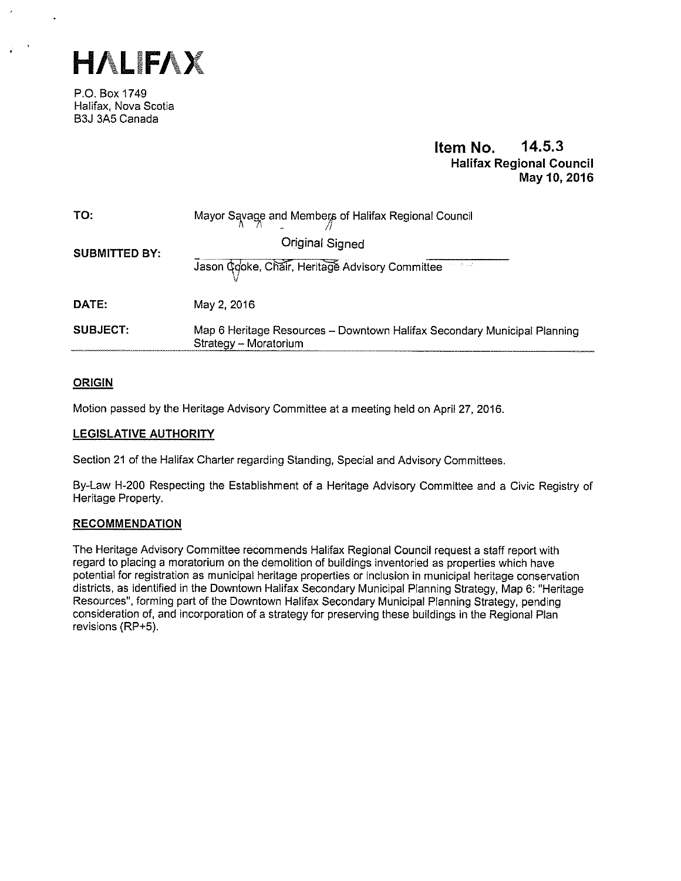

P.O. Box 1749 Halifax, Nova Scotia B3J 3A5 Canada

# Item No. 14.5.3 Halifax Regional Council May 10, 2016

| TO:                  | Mayor Savage and Members of Halifax Regional Council                                              |
|----------------------|---------------------------------------------------------------------------------------------------|
| <b>SUBMITTED BY:</b> | Original Signed                                                                                   |
|                      | Jason Cooke, Chair, Heritage Advisory Committee                                                   |
| DATE:                | May 2, 2016                                                                                       |
| <b>SUBJECT:</b>      | Map 6 Heritage Resources - Downtown Halifax Secondary Municipal Planning<br>Strategy - Moratorium |

# ORIGIN

Motion passed by the Heritage Advisory Committee at a meeting held on April 27, 2016.

# LEGISLATIVE AUTHORITY

Section 21 of the Halifax Charter regarding Standing, Special and Advisory Committees.

By-Law H-200 Respecting the Establishment of a Heritage Advisory Committee and a Civic Registry of Heritage Property.

# RECOMMENDATION

The Heritage Advisory Committee recommends Halifax Regional Council request a staff report with regard to placing a moratorium on the demolition of buildings inventoried as properties which have potential for registration as municipal heritage properties or inclusion in municipal heritage conservation districts, as identified in the Downtown Halifax Secondary Municipal Planning Strategy, Map 6: "Heritage Resources", forming part of the Downtown Halifax Secondary Municipal Planning Strategy, pending consideration of, and incorporation of a strategy for preserving these buildings in the Regional Plan revisions (RP+5).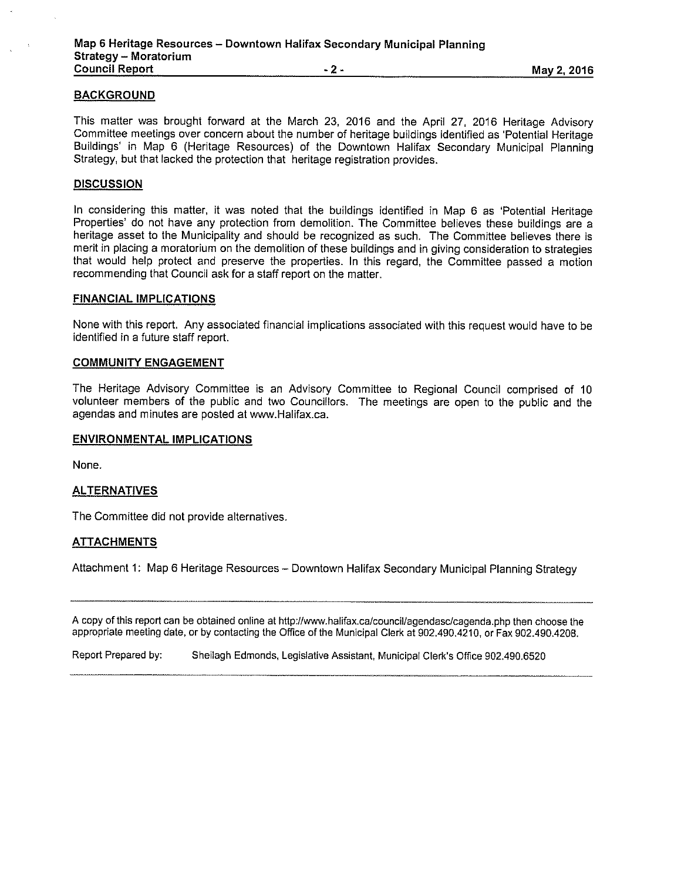## **BACKGROUND**

This matter was brought forward at the March 23, 2016 and the April 27, 2016 Heritage Advisory Committee meetings over concern about the number of heritage buildings identified as 'Potential Heritage Buildings' in Map 6 (Heritage Resources) of the Downtown Halifax Secondary Municipal Planning Strategy, but that lacked the protection that heritage registration provides.

## **DISCUSSION**

In considering this matter, it was noted that the buildings identified in Map 6 as 'Potential Heritage Properties' do not have any protection from demolition. The Committee believes these buildings are a heritage asset to the Municipality and should be recognized as such. The Committee believes there is merit in placing a moratorium on the demolition of these buildings and in giving consideration to strategies that would help protect and preserve the properties. In this regard, the Committee passed a motion recommending that Council ask for a staff report on the matter.

#### FINANCIAL IMPLICATIONS

None with this report. Any associated financial implications associated with this request would have to be identified in a future staff report.

#### COMMUNITY ENGAGEMENT

The Heritage Advisory Committee is an Advisory Committee to Regional Council comprised of 10 volunteer members of the public and two Councillors. The meetings are open to the public and the agendas and minutes are posted at www.Halifax.ca.

#### ENVIRONMENTAL IMPLICATIONS

None.

### **ALTERNATIVES**

The Committee did not provide alternatives.

### ATTACHMENTS

Attachment 1: Map 6 Heritage Resources — Downtown Halifax Secondary Municipal Planning Strategy

A copy of this report can be obtained online at http://www.halifax.ca/council/agendasc/cagenda.php then choose the appropriate meeting date, or by contacting the Office of the Municipal Clerk at 902.4g0,4210, or Fax g02.490.4208.

Report Prepared by: Sheilagh Edmonds, Legislative Assistant, Municipal Clerk's Office 902.490.6520